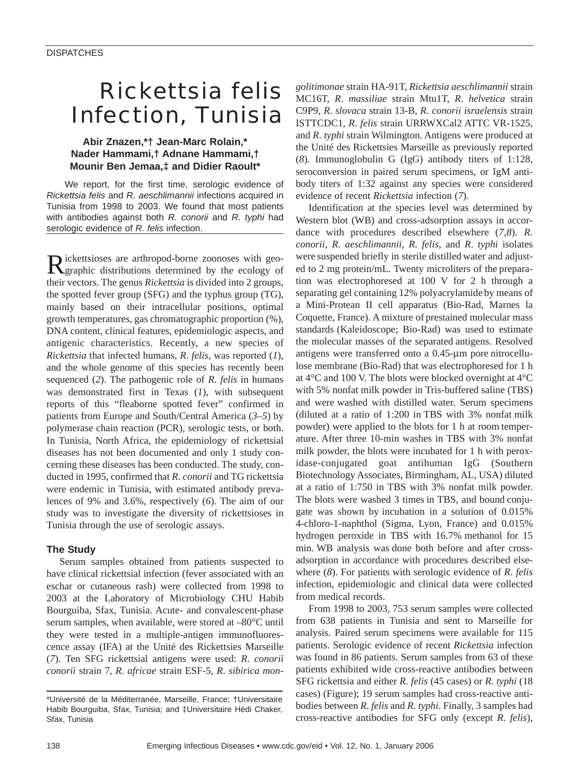# *Rickettsia felis* Infection, Tunisia

## **Abir Znazen,\*† Jean-Marc Rolain,\* Nader Hammami,† Adnane Hammami,† Mounir Ben Jemaa,‡ and Didier Raoult\***

We report, for the first time, serologic evidence of *Rickettsia felis* and *R. aeschlimannii* infections acquired in Tunisia from 1998 to 2003. We found that most patients with antibodies against both *R. conorii* and *R. typhi* had serologic evidence of *R. felis* infection.

Rickettsioses are arthropod-borne zoonoses with geo-graphic distributions determined by the ecology of their vectors. The genus *Rickettsia* is divided into 2 groups, the spotted fever group (SFG) and the typhus group (TG), mainly based on their intracellular positions, optimal growth temperatures, gas chromatographic proportion (%), DNA content, clinical features, epidemiologic aspects, and antigenic characteristics. Recently, a new species of *Rickettsia* that infected humans, *R*. *felis*, was reported (*1*), and the whole genome of this species has recently been sequenced (*2*). The pathogenic role of *R*. *felis* in humans was demonstrated first in Texas (*1*), with subsequent reports of this "fleaborne spotted fever" confirmed in patients from Europe and South/Central America (*3–5*) by polymerase chain reaction (PCR), serologic tests, or both. In Tunisia, North Africa, the epidemiology of rickettsial diseases has not been documented and only 1 study concerning these diseases has been conducted. The study, conducted in 1995, confirmed that *R*. *conorii* and TG rickettsia were endemic in Tunisia, with estimated antibody prevalences of 9% and 3.6%, respectively (*6*). The aim of our study was to investigate the diversity of rickettsioses in Tunisia through the use of serologic assays.

## **The Study**

Serum samples obtained from patients suspected to have clinical rickettsial infection (fever associated with an eschar or cutaneous rash) were collected from 1998 to 2003 at the Laboratory of Microbiology CHU Habib Bourguiba, Sfax, Tunisia. Acute- and convalescent-phase serum samples, when available, were stored at –80°C until they were tested in a multiple-antigen immunofluorescence assay (IFA) at the Unité des Rickettsies Marseille (*7*). Ten SFG rickettsial antigens were used: *R*. *conorii conorii* strain 7, *R*. *africae* strain ESF-5, *R*. *sibirica mon-* *golitimonae* strain HA-91T, *Rickettsia aeschlimannii* strain MC16T, *R*. *massiliae* strain Mtu1T, *R*. *helvetica* strain C9P9, *R*. *slovaca* strain 13-B, *R*. *conorii israelensis* strain ISTTCDC1, *R*. *felis* strain URRWXCal2 ATTC VR-1525, and *R*. *typhi* strain Wilmington. Antigens were produced at the Unité des Rickettsies Marseille as previously reported (*8*). Immunoglobulin G (IgG) antibody titers of 1:128, seroconversion in paired serum specimens, or IgM antibody titers of 1:32 against any species were considered evidence of recent *Rickettsia* infection (*7*).

Identification at the species level was determined by Western blot (WB) and cross-adsorption assays in accordance with procedures described elsewhere (*7,8*). *R. conorii*, *R*. *aeschlimannii*, *R*. *felis*, and *R*. *typhi* isolates were suspended briefly in sterile distilled water and adjusted to 2 mg protein/mL. Twenty microliters of the preparation was electrophoresed at 100 V for 2 h through a separating gel containing 12% polyacrylamide by means of a Mini-Protean II cell apparatus (Bio-Rad, Marnes la Coquette, France). A mixture of prestained molecular mass standards (Kaleidoscope; Bio-Rad) was used to estimate the molecular masses of the separated antigens. Resolved antigens were transferred onto a 0.45-µm pore nitrocellulose membrane (Bio-Rad) that was electrophoresed for 1 h at 4°C and 100 V. The blots were blocked overnight at 4°C with 5% nonfat milk powder in Tris-buffered saline (TBS) and were washed with distilled water. Serum specimens (diluted at a ratio of 1:200 in TBS with 3% nonfat milk powder) were applied to the blots for 1 h at room temperature. After three 10-min washes in TBS with 3% nonfat milk powder, the blots were incubated for 1 h with peroxidase-conjugated goat antihuman IgG (Southern Biotechnology Associates, Birmingham, AL, USA) diluted at a ratio of 1:750 in TBS with 3% nonfat milk powder. The blots were washed 3 times in TBS, and bound conjugate was shown by incubation in a solution of 0.015% 4-chloro-1-naphthol (Sigma, Lyon, France) and 0.015% hydrogen peroxide in TBS with 16.7% methanol for 15 min. WB analysis was done both before and after crossadsorption in accordance with procedures described elsewhere (*8*). For patients with serologic evidence of *R*. *felis* infection, epidemiologic and clinical data were collected from medical records.

From 1998 to 2003, 753 serum samples were collected from 638 patients in Tunisia and sent to Marseille for analysis. Paired serum specimens were available for 115 patients. Serologic evidence of recent *Rickettsia* infection was found in 86 patients. Serum samples from 63 of these patients exhibited wide cross-reactive antibodies between SFG rickettsia and either *R*. *felis* (45 cases) or *R*. *typhi* (18 cases) (Figure); 19 serum samples had cross-reactive antibodies between *R*. *felis* and *R*. *typhi*. Finally, 3 samples had cross-reactive antibodies for SFG only (except *R*. *felis*),

<sup>\*</sup>Université de la Méditerranée, Marseille, France; †Universitaire Habib Bourguiba, Sfax, Tunisia; and ‡Universitaire Hédi Chaker, Sfax, Tunisia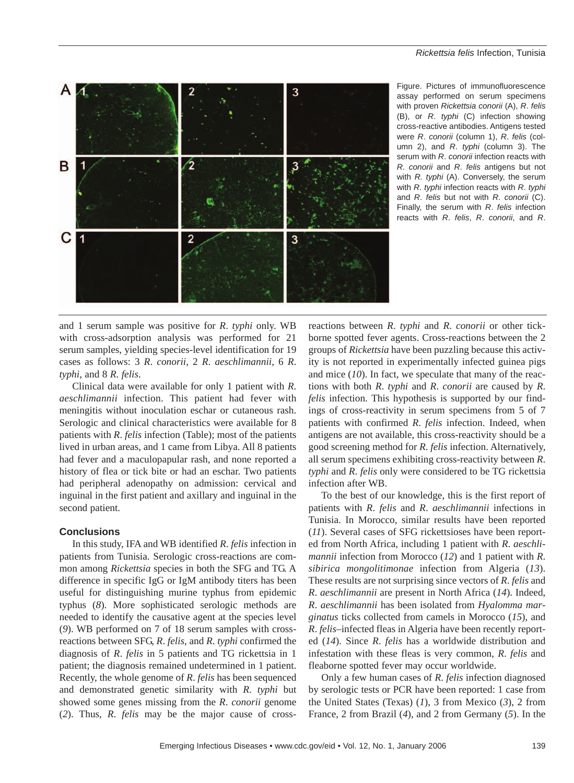

Figure. Pictures of immunofluorescence assay performed on serum specimens with proven *Rickettsia conorii* (A), *R*. *felis* (B), or *R*. *typhi* (C) infection showing cross-reactive antibodies. Antigens tested were *R*. *conorii* (column 1), *R*. *felis* (column 2), and *R*. *typhi* (column 3). The serum with *R*. *conorii* infection reacts with *R*. *conorii* and *R*. *felis* antigens but not with *R. typhi* (A). Conversely, the serum with *R. typhi* infection reacts with *R*. *typhi* and *R*. *felis* but not with *R*. *conorii* (C). Finally, the serum with *R*. *felis* infection reacts with *R*. *felis*, *R*. *conorii*, and *R*.

and 1 serum sample was positive for *R*. *typhi* only. WB with cross-adsorption analysis was performed for 21 serum samples, yielding species-level identification for 19 cases as follows: 3 *R*. *conorii*, 2 *R*. *aeschlimannii*, 6 *R*. *typhi*, and 8 *R*. *felis*.

Clinical data were available for only 1 patient with *R*. *aeschlimannii* infection. This patient had fever with meningitis without inoculation eschar or cutaneous rash. Serologic and clinical characteristics were available for 8 patients with *R*. *felis* infection (Table); most of the patients lived in urban areas, and 1 came from Libya. All 8 patients had fever and a maculopapular rash, and none reported a history of flea or tick bite or had an eschar. Two patients had peripheral adenopathy on admission: cervical and inguinal in the first patient and axillary and inguinal in the second patient.

#### **Conclusions**

In this study, IFA and WB identified *R*. *felis* infection in patients from Tunisia. Serologic cross-reactions are common among *Rickettsia* species in both the SFG and TG. A difference in specific IgG or IgM antibody titers has been useful for distinguishing murine typhus from epidemic typhus (*8*). More sophisticated serologic methods are needed to identify the causative agent at the species level (*9*). WB performed on 7 of 18 serum samples with crossreactions between SFG, *R*. *felis*, and *R*. *typhi* confirmed the diagnosis of *R*. *felis* in 5 patients and TG rickettsia in 1 patient; the diagnosis remained undetermined in 1 patient. Recently, the whole genome of *R*. *felis* has been sequenced and demonstrated genetic similarity with *R*. *typhi* but showed some genes missing from the *R*. *conorii* genome (*2*). Thus, *R*. *felis* may be the major cause of crossreactions between *R*. *typhi* and *R*. *conorii* or other tickborne spotted fever agents. Cross-reactions between the 2 groups of *Rickettsia* have been puzzling because this activity is not reported in experimentally infected guinea pigs and mice (*10*). In fact, we speculate that many of the reactions with both *R*. *typhi* and *R*. *conorii* are caused by *R*. *felis* infection. This hypothesis is supported by our findings of cross-reactivity in serum specimens from 5 of 7 patients with confirmed *R*. *felis* infection. Indeed, when antigens are not available, this cross-reactivity should be a good screening method for *R*. *felis* infection. Alternatively, all serum specimens exhibiting cross-reactivity between *R*. *typhi* and *R*. *felis* only were considered to be TG rickettsia infection after WB.

To the best of our knowledge, this is the first report of patients with *R*. *felis* and *R*. *aeschlimannii* infections in Tunisia. In Morocco, similar results have been reported (*11*). Several cases of SFG rickettsioses have been reported from North Africa, including 1 patient with *R*. *aeschlimannii* infection from Morocco (*12*) and 1 patient with *R*. *sibirica mongolitimonae* infection from Algeria (*13*). These results are not surprising since vectors of *R*. *felis* and *R*. *aeschlimannii* are present in North Africa (*14*). Indeed, *R*. *aeschlimannii* has been isolated from *Hyalomma marginatus* ticks collected from camels in Morocco (*15*), and *R*. *felis*–infected fleas in Algeria have been recently reported (*14*). Since *R*. *felis* has a worldwide distribution and infestation with these fleas is very common, *R*. *felis* and fleaborne spotted fever may occur worldwide.

Only a few human cases of *R*. *felis* infection diagnosed by serologic tests or PCR have been reported: 1 case from the United States (Texas) (*1*), 3 from Mexico (*3*), 2 from France, 2 from Brazil (*4*), and 2 from Germany (*5*). In the